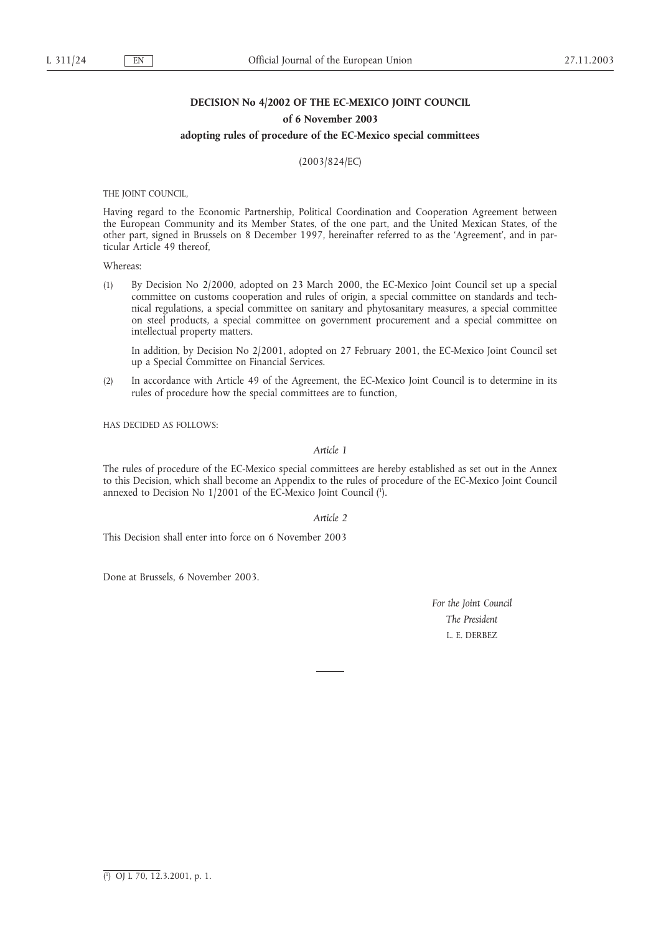# **DECISION No 4/2002 OF THE EC-MEXICO JOINT COUNCIL**

### **of 6 November 2003**

#### **adopting rules of procedure of the EC-Mexico special committees**

(2003/824/EC)

THE JOINT COUNCIL,

Having regard to the Economic Partnership, Political Coordination and Cooperation Agreement between the European Community and its Member States, of the one part, and the United Mexican States, of the other part, signed in Brussels on 8 December 1997, hereinafter referred to as the 'Agreement', and in particular Article 49 thereof,

Whereas:

(1) By Decision No 2/2000, adopted on 23 March 2000, the EC-Mexico Joint Council set up a special committee on customs cooperation and rules of origin, a special committee on standards and technical regulations, a special committee on sanitary and phytosanitary measures, a special committee on steel products, a special committee on government procurement and a special committee on intellectual property matters.

In addition, by Decision No 2/2001, adopted on 27 February 2001, the EC-Mexico Joint Council set up a Special Committee on Financial Services.

(2) In accordance with Article 49 of the Agreement, the EC-Mexico Joint Council is to determine in its rules of procedure how the special committees are to function,

HAS DECIDED AS FOLLOWS:

#### *Article 1*

The rules of procedure of the EC-Mexico special committees are hereby established as set out in the Annex to this Decision, which shall become an Appendix to the rules of procedure of the EC-Mexico Joint Council annexed to Decision No 1/2001 of the EC-Mexico Joint Council (1 ).

*Article 2*

This Decision shall enter into force on 6 November 2003

Done at Brussels, 6 November 2003.

*For the Joint Council The President* L. E. DERBEZ

<sup>(</sup> 1 ) OJ L 70, 12.3.2001, p. 1.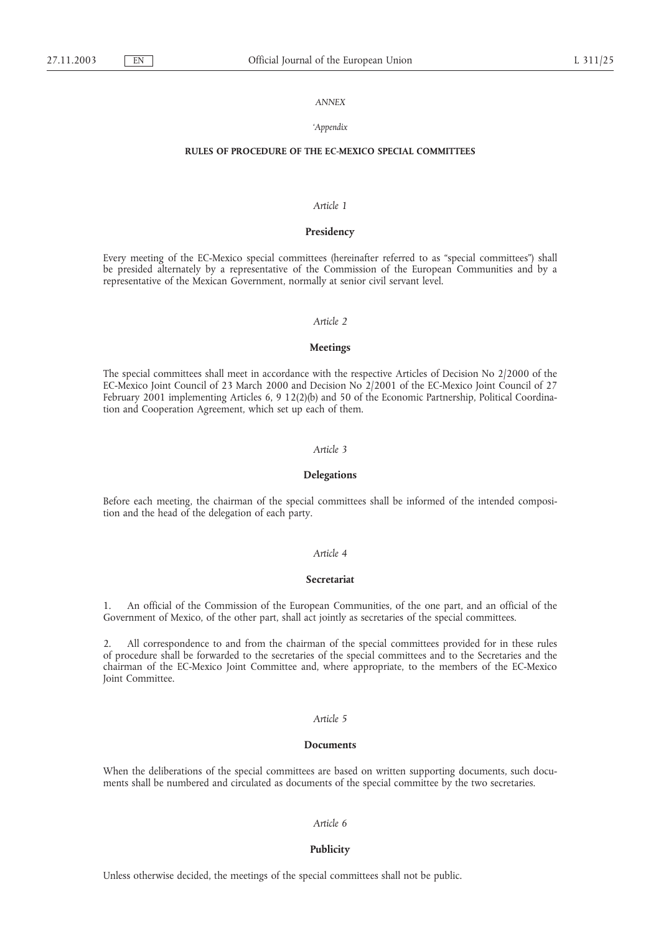### *ANNEX*

### *'Appendix*

## **RULES OF PROCEDURE OF THE EC-MEXICO SPECIAL COMMITTEES**

## *Article 1*

### **Presidency**

Every meeting of the EC-Mexico special committees (hereinafter referred to as "special committees") shall be presided alternately by a representative of the Commission of the European Communities and by a representative of the Mexican Government, normally at senior civil servant level.

## *Article 2*

#### **Meetings**

The special committees shall meet in accordance with the respective Articles of Decision No 2/2000 of the EC-Mexico Joint Council of 23 March 2000 and Decision No 2/2001 of the EC-Mexico Joint Council of 27 February 2001 implementing Articles 6, 9 12(2)(b) and 50 of the Economic Partnership, Political Coordination and Cooperation Agreement, which set up each of them.

### *Article 3*

#### **Delegations**

Before each meeting, the chairman of the special committees shall be informed of the intended composition and the head of the delegation of each party.

# *Article 4*

### **Secretariat**

1. An official of the Commission of the European Communities, of the one part, and an official of the Government of Mexico, of the other part, shall act jointly as secretaries of the special committees.

2. All correspondence to and from the chairman of the special committees provided for in these rules of procedure shall be forwarded to the secretaries of the special committees and to the Secretaries and the chairman of the EC-Mexico Joint Committee and, where appropriate, to the members of the EC-Mexico Joint Committee.

### *Article 5*

#### **Documents**

When the deliberations of the special committees are based on written supporting documents, such documents shall be numbered and circulated as documents of the special committee by the two secretaries.

### *Article 6*

#### **Publicity**

Unless otherwise decided, the meetings of the special committees shall not be public.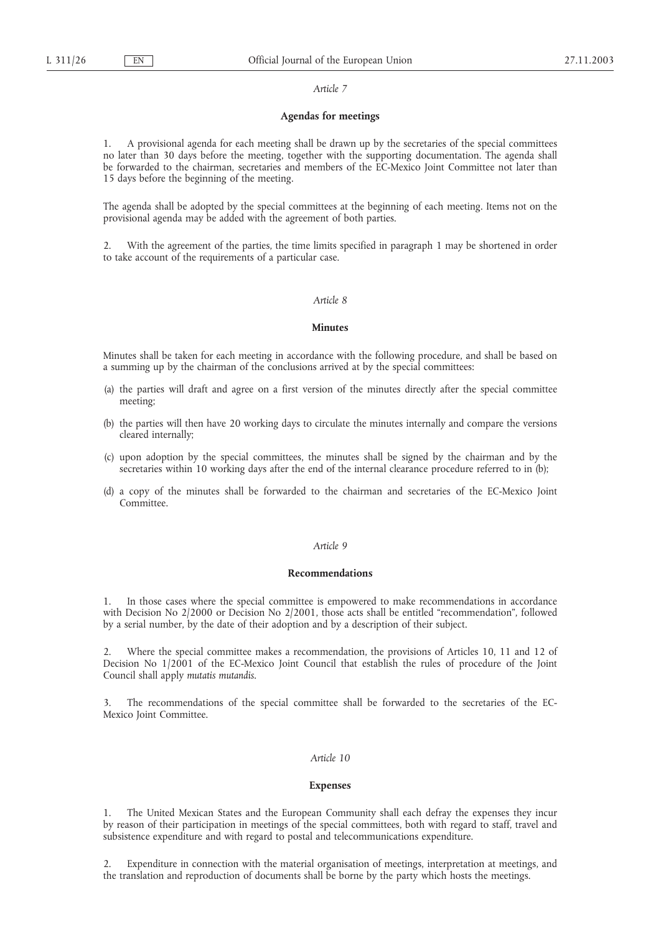#### *Article 7*

# **Agendas for meetings**

1. A provisional agenda for each meeting shall be drawn up by the secretaries of the special committees no later than 30 days before the meeting, together with the supporting documentation. The agenda shall be forwarded to the chairman, secretaries and members of the EC-Mexico Joint Committee not later than 15 days before the beginning of the meeting.

The agenda shall be adopted by the special committees at the beginning of each meeting. Items not on the provisional agenda may be added with the agreement of both parties.

2. With the agreement of the parties, the time limits specified in paragraph 1 may be shortened in order to take account of the requirements of a particular case.

#### *Article 8*

## **Minutes**

Minutes shall be taken for each meeting in accordance with the following procedure, and shall be based on a summing up by the chairman of the conclusions arrived at by the special committees:

- (a) the parties will draft and agree on a first version of the minutes directly after the special committee meeting;
- (b) the parties will then have 20 working days to circulate the minutes internally and compare the versions cleared internally;
- (c) upon adoption by the special committees, the minutes shall be signed by the chairman and by the secretaries within 10 working days after the end of the internal clearance procedure referred to in (b);
- (d) a copy of the minutes shall be forwarded to the chairman and secretaries of the EC-Mexico Joint Committee.

## *Article 9*

### **Recommendations**

1. In those cases where the special committee is empowered to make recommendations in accordance with Decision No 2/2000 or Decision No 2/2001, those acts shall be entitled "recommendation", followed by a serial number, by the date of their adoption and by a description of their subject.

2. Where the special committee makes a recommendation, the provisions of Articles 10, 11 and 12 of Decision No 1/2001 of the EC-Mexico Joint Council that establish the rules of procedure of the Joint Council shall apply *mutatis mutandis*.

3. The recommendations of the special committee shall be forwarded to the secretaries of the EC-Mexico Joint Committee.

# *Article 10*

#### **Expenses**

1. The United Mexican States and the European Community shall each defray the expenses they incur by reason of their participation in meetings of the special committees, both with regard to staff, travel and subsistence expenditure and with regard to postal and telecommunications expenditure.

Expenditure in connection with the material organisation of meetings, interpretation at meetings, and the translation and reproduction of documents shall be borne by the party which hosts the meetings.